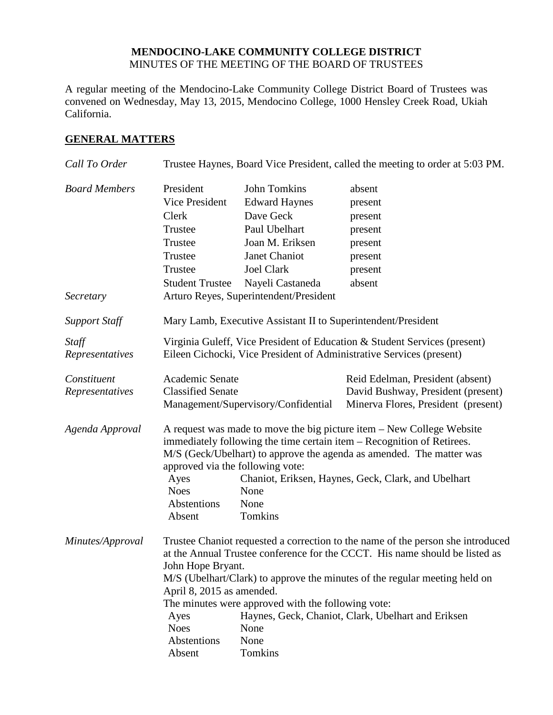## **MENDOCINO-LAKE COMMUNITY COLLEGE DISTRICT** MINUTES OF THE MEETING OF THE BOARD OF TRUSTEES

A regular meeting of the Mendocino-Lake Community College District Board of Trustees was convened on Wednesday, May 13, 2015, Mendocino College, 1000 Hensley Creek Road, Ukiah California.

## **GENERAL MATTERS**

| Call To Order                     | Trustee Haynes, Board Vice President, called the meeting to order at 5:03 PM.                                                                                                                                                                                                                                                                                                                                                                                                         |                                                                                                                                                                                           |                                                                                                               |
|-----------------------------------|---------------------------------------------------------------------------------------------------------------------------------------------------------------------------------------------------------------------------------------------------------------------------------------------------------------------------------------------------------------------------------------------------------------------------------------------------------------------------------------|-------------------------------------------------------------------------------------------------------------------------------------------------------------------------------------------|---------------------------------------------------------------------------------------------------------------|
| <b>Board Members</b><br>Secretary | President<br>Vice President<br>Clerk<br>Trustee<br>Trustee<br>Trustee<br>Trustee<br><b>Student Trustee</b>                                                                                                                                                                                                                                                                                                                                                                            | John Tomkins<br><b>Edward Haynes</b><br>Dave Geck<br>Paul Ubelhart<br>Joan M. Eriksen<br>Janet Chaniot<br><b>Joel Clark</b><br>Nayeli Castaneda<br>Arturo Reyes, Superintendent/President | absent<br>present<br>present<br>present<br>present<br>present<br>present<br>absent                            |
|                                   |                                                                                                                                                                                                                                                                                                                                                                                                                                                                                       |                                                                                                                                                                                           |                                                                                                               |
| <b>Support Staff</b>              |                                                                                                                                                                                                                                                                                                                                                                                                                                                                                       | Mary Lamb, Executive Assistant II to Superintendent/President                                                                                                                             |                                                                                                               |
| Staff<br>Representatives          | Virginia Guleff, Vice President of Education & Student Services (present)<br>Eileen Cichocki, Vice President of Administrative Services (present)                                                                                                                                                                                                                                                                                                                                     |                                                                                                                                                                                           |                                                                                                               |
| Constituent<br>Representatives    | Academic Senate<br><b>Classified Senate</b>                                                                                                                                                                                                                                                                                                                                                                                                                                           | Management/Supervisory/Confidential                                                                                                                                                       | Reid Edelman, President (absent)<br>David Bushway, President (present)<br>Minerva Flores, President (present) |
| Agenda Approval                   | A request was made to move the big picture item - New College Website<br>immediately following the time certain item – Recognition of Retirees.<br>M/S (Geck/Ubelhart) to approve the agenda as amended. The matter was<br>approved via the following vote:<br>Chaniot, Eriksen, Haynes, Geck, Clark, and Ubelhart<br>Ayes<br><b>Noes</b><br>None<br>Abstentions<br>None<br>Tomkins<br>Absent                                                                                         |                                                                                                                                                                                           |                                                                                                               |
| Minutes/Approval                  | Trustee Chaniot requested a correction to the name of the person she introduced<br>at the Annual Trustee conference for the CCCT. His name should be listed as<br>John Hope Bryant.<br>M/S (Ubelhart/Clark) to approve the minutes of the regular meeting held on<br>April 8, 2015 as amended.<br>The minutes were approved with the following vote:<br>Haynes, Geck, Chaniot, Clark, Ubelhart and Eriksen<br>Ayes<br><b>Noes</b><br>None<br>Abstentions<br>None<br>Tomkins<br>Absent |                                                                                                                                                                                           |                                                                                                               |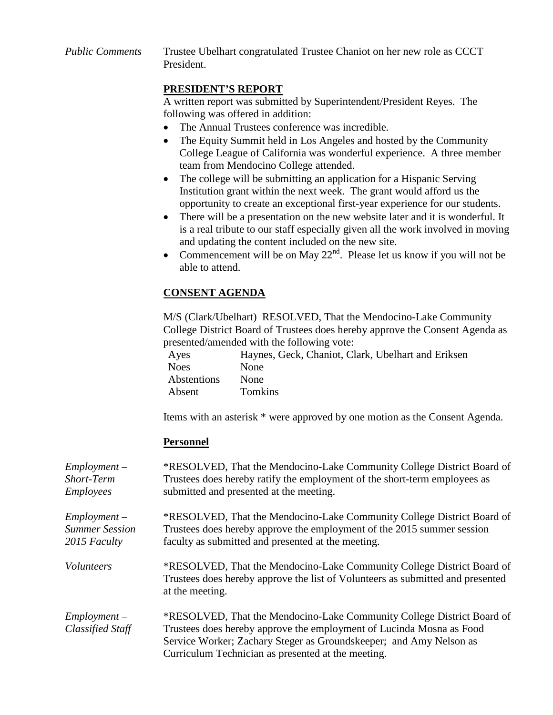*Public Comments* Trustee Ubelhart congratulated Trustee Chaniot on her new role as CCCT President.

# **PRESIDENT'S REPORT**

A written report was submitted by Superintendent/President Reyes. The following was offered in addition:

- The Annual Trustees conference was incredible.
- The Equity Summit held in Los Angeles and hosted by the Community College League of California was wonderful experience. A three member team from Mendocino College attended.
- The college will be submitting an application for a Hispanic Serving Institution grant within the next week. The grant would afford us the opportunity to create an exceptional first-year experience for our students.
- There will be a presentation on the new website later and it is wonderful. It is a real tribute to our staff especially given all the work involved in moving and updating the content included on the new site.
- Commencement will be on May  $22<sup>nd</sup>$ . Please let us know if you will not be able to attend.

# **CONSENT AGENDA**

M/S (Clark/Ubelhart) RESOLVED, That the Mendocino-Lake Community College District Board of Trustees does hereby approve the Consent Agenda as presented/amended with the following vote:

Ayes Haynes, Geck, Chaniot, Clark, Ubelhart and Eriksen Noes None Abstentions None Absent Tomkins

Items with an asterisk \* were approved by one motion as the Consent Agenda.

## **Personnel**

| $Employment -$                            | *RESOLVED, That the Mendocino-Lake Community College District Board of                                                                                                                                                                                                     |
|-------------------------------------------|----------------------------------------------------------------------------------------------------------------------------------------------------------------------------------------------------------------------------------------------------------------------------|
| Short-Term                                | Trustees does hereby ratify the employment of the short-term employees as                                                                                                                                                                                                  |
| <b>Employees</b>                          | submitted and presented at the meeting.                                                                                                                                                                                                                                    |
| $Employment -$                            | *RESOLVED, That the Mendocino-Lake Community College District Board of                                                                                                                                                                                                     |
| <b>Summer Session</b>                     | Trustees does hereby approve the employment of the 2015 summer session                                                                                                                                                                                                     |
| 2015 Faculty                              | faculty as submitted and presented at the meeting.                                                                                                                                                                                                                         |
| <i>Volunteers</i>                         | *RESOLVED, That the Mendocino-Lake Community College District Board of<br>Trustees does hereby approve the list of Volunteers as submitted and presented<br>at the meeting.                                                                                                |
| $Employment -$<br><b>Classified Staff</b> | *RESOLVED, That the Mendocino-Lake Community College District Board of<br>Trustees does hereby approve the employment of Lucinda Mosna as Food<br>Service Worker; Zachary Steger as Groundskeeper; and Amy Nelson as<br>Curriculum Technician as presented at the meeting. |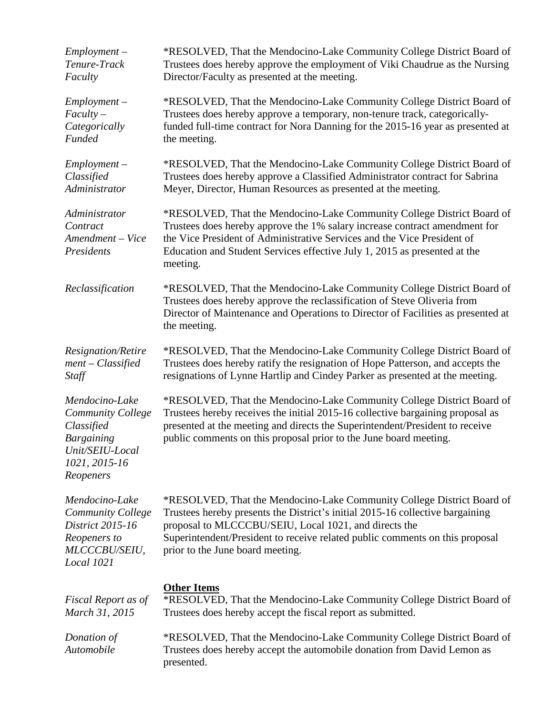| $Employment -$<br>Tenure-Track<br>Faculty                                                                               | *RESOLVED, That the Mendocino-Lake Community College District Board of<br>Trustees does hereby approve the employment of Viki Chaudrue as the Nursing<br>Director/Faculty as presented at the meeting.                                                                                                                               |
|-------------------------------------------------------------------------------------------------------------------------|--------------------------------------------------------------------------------------------------------------------------------------------------------------------------------------------------------------------------------------------------------------------------------------------------------------------------------------|
| $Employment -$<br>$Faculty -$<br>Categorically<br>Funded                                                                | *RESOLVED, That the Mendocino-Lake Community College District Board of<br>Trustees does hereby approve a temporary, non-tenure track, categorically-<br>funded full-time contract for Nora Danning for the 2015-16 year as presented at<br>the meeting.                                                                              |
| $Employment -$<br>Classified<br>Administrator                                                                           | *RESOLVED, That the Mendocino-Lake Community College District Board of<br>Trustees does hereby approve a Classified Administrator contract for Sabrina<br>Meyer, Director, Human Resources as presented at the meeting.                                                                                                              |
| Administrator<br>Contract<br>Amendment - Vice<br>Presidents                                                             | *RESOLVED, That the Mendocino-Lake Community College District Board of<br>Trustees does hereby approve the 1% salary increase contract amendment for<br>the Vice President of Administrative Services and the Vice President of<br>Education and Student Services effective July 1, 2015 as presented at the<br>meeting.             |
| Reclassification                                                                                                        | *RESOLVED, That the Mendocino-Lake Community College District Board of<br>Trustees does hereby approve the reclassification of Steve Oliveria from<br>Director of Maintenance and Operations to Director of Facilities as presented at<br>the meeting.                                                                               |
| Resignation/Retire<br>$ment - Classified$<br>Staff                                                                      | *RESOLVED, That the Mendocino-Lake Community College District Board of<br>Trustees does hereby ratify the resignation of Hope Patterson, and accepts the<br>resignations of Lynne Hartlip and Cindey Parker as presented at the meeting.                                                                                             |
| Mendocino-Lake<br>Community College<br>Classified<br><b>Bargaining</b><br>Unit/SEIU-Local<br>1021, 2015-16<br>Reopeners | *RESOLVED, That the Mendocino-Lake Community College District Board of<br>Trustees hereby receives the initial 2015-16 collective bargaining proposal as<br>presented at the meeting and directs the Superintendent/President to receive<br>public comments on this proposal prior to the June board meeting.                        |
| Mendocino-Lake<br>Community College<br>District 2015-16<br>Reopeners to<br>MLCCCBU/SEIU,<br><b>Local 1021</b>           | *RESOLVED, That the Mendocino-Lake Community College District Board of<br>Trustees hereby presents the District's initial 2015-16 collective bargaining<br>proposal to MLCCCBU/SEIU, Local 1021, and directs the<br>Superintendent/President to receive related public comments on this proposal<br>prior to the June board meeting. |
| Fiscal Report as of<br>March 31, 2015                                                                                   | <b>Other Items</b><br>*RESOLVED, That the Mendocino-Lake Community College District Board of<br>Trustees does hereby accept the fiscal report as submitted.                                                                                                                                                                          |
| Donation of<br>Automobile                                                                                               | *RESOLVED, That the Mendocino-Lake Community College District Board of<br>Trustees does hereby accept the automobile donation from David Lemon as<br>presented.                                                                                                                                                                      |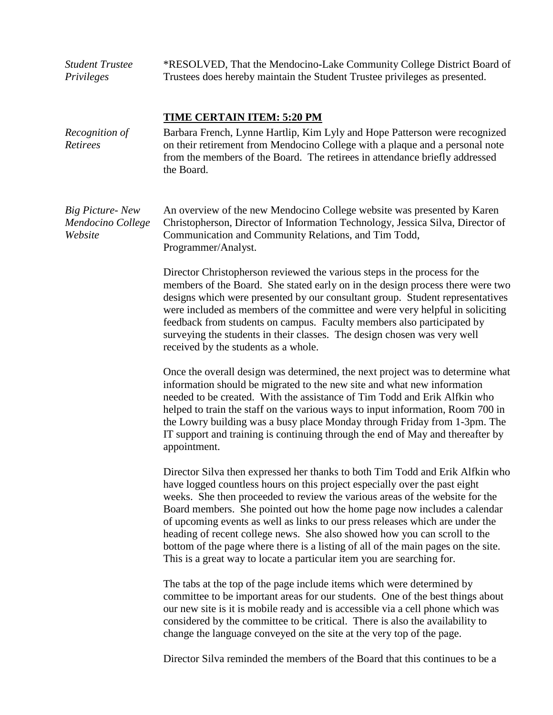| <b>Student Trustee</b> | *RESOLVED, That the Mendocino-Lake Community College District Board of     |
|------------------------|----------------------------------------------------------------------------|
| Privileges             | Trustees does hereby maintain the Student Trustee privileges as presented. |

# **TIME CERTAIN ITEM: 5:20 PM**

| Recognition of<br>Retirees                      | Barbara French, Lynne Hartlip, Kim Lyly and Hope Patterson were recognized<br>on their retirement from Mendocino College with a plaque and a personal note<br>from the members of the Board. The retirees in attendance briefly addressed<br>the Board.                                                                                                                                                                                                                                                                                                                                                                                              |
|-------------------------------------------------|------------------------------------------------------------------------------------------------------------------------------------------------------------------------------------------------------------------------------------------------------------------------------------------------------------------------------------------------------------------------------------------------------------------------------------------------------------------------------------------------------------------------------------------------------------------------------------------------------------------------------------------------------|
| Big Picture-New<br>Mendocino College<br>Website | An overview of the new Mendocino College website was presented by Karen<br>Christopherson, Director of Information Technology, Jessica Silva, Director of<br>Communication and Community Relations, and Tim Todd,<br>Programmer/Analyst.                                                                                                                                                                                                                                                                                                                                                                                                             |
|                                                 | Director Christopherson reviewed the various steps in the process for the<br>members of the Board. She stated early on in the design process there were two<br>designs which were presented by our consultant group. Student representatives<br>were included as members of the committee and were very helpful in soliciting<br>feedback from students on campus. Faculty members also participated by<br>surveying the students in their classes. The design chosen was very well<br>received by the students as a whole.                                                                                                                          |
|                                                 | Once the overall design was determined, the next project was to determine what<br>information should be migrated to the new site and what new information<br>needed to be created. With the assistance of Tim Todd and Erik Alfkin who<br>helped to train the staff on the various ways to input information, Room 700 in<br>the Lowry building was a busy place Monday through Friday from 1-3pm. The<br>IT support and training is continuing through the end of May and thereafter by<br>appointment.                                                                                                                                             |
|                                                 | Director Silva then expressed her thanks to both Tim Todd and Erik Alfkin who<br>have logged countless hours on this project especially over the past eight<br>weeks. She then proceeded to review the various areas of the website for the<br>Board members. She pointed out how the home page now includes a calendar<br>of upcoming events as well as links to our press releases which are under the<br>heading of recent college news. She also showed how you can scroll to the<br>bottom of the page where there is a listing of all of the main pages on the site.<br>This is a great way to locate a particular item you are searching for. |
|                                                 | The tabs at the top of the page include items which were determined by<br>committee to be important areas for our students. One of the best things about<br>our new site is it is mobile ready and is accessible via a cell phone which was<br>considered by the committee to be critical. There is also the availability to<br>change the language conveyed on the site at the very top of the page.                                                                                                                                                                                                                                                |
|                                                 | Director Silva reminded the members of the Board that this continues to be a                                                                                                                                                                                                                                                                                                                                                                                                                                                                                                                                                                         |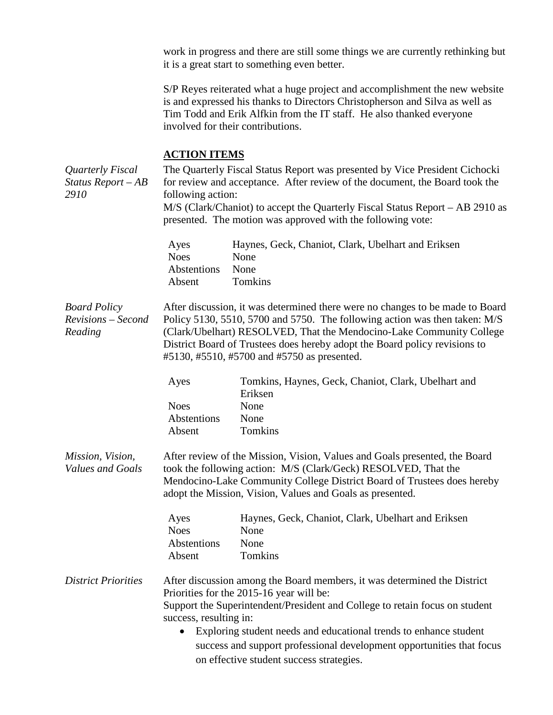work in progress and there are still some things we are currently rethinking but it is a great start to something even better.

S/P Reyes reiterated what a huge project and accomplishment the new website is and expressed his thanks to Directors Christopherson and Silva as well as Tim Todd and Erik Alfkin from the IT staff. He also thanked everyone involved for their contributions.

### **ACTION ITEMS**

| Quarterly Fiscal<br>Status Report-AB<br>2910         | The Quarterly Fiscal Status Report was presented by Vice President Cichocki<br>for review and acceptance. After review of the document, the Board took the<br>following action:<br>M/S (Clark/Chaniot) to accept the Quarterly Fiscal Status Report – AB 2910 as<br>presented. The motion was approved with the following vote:                                  |                                                                                                                                                                                                                                                                                                                                                                                               |
|------------------------------------------------------|------------------------------------------------------------------------------------------------------------------------------------------------------------------------------------------------------------------------------------------------------------------------------------------------------------------------------------------------------------------|-----------------------------------------------------------------------------------------------------------------------------------------------------------------------------------------------------------------------------------------------------------------------------------------------------------------------------------------------------------------------------------------------|
|                                                      | Ayes<br><b>Noes</b><br>Abstentions<br>Absent                                                                                                                                                                                                                                                                                                                     | Haynes, Geck, Chaniot, Clark, Ubelhart and Eriksen<br>None<br>None<br>Tomkins                                                                                                                                                                                                                                                                                                                 |
| <b>Board Policy</b><br>Revisions - Second<br>Reading | After discussion, it was determined there were no changes to be made to Board<br>Policy 5130, 5510, 5700 and 5750. The following action was then taken: M/S<br>(Clark/Ubelhart) RESOLVED, That the Mendocino-Lake Community College<br>District Board of Trustees does hereby adopt the Board policy revisions to<br>#5130, #5510, #5700 and #5750 as presented. |                                                                                                                                                                                                                                                                                                                                                                                               |
|                                                      | Ayes<br><b>Noes</b><br>Abstentions<br>Absent                                                                                                                                                                                                                                                                                                                     | Tomkins, Haynes, Geck, Chaniot, Clark, Ubelhart and<br>Eriksen<br>None<br>None<br>Tomkins                                                                                                                                                                                                                                                                                                     |
| Mission, Vision,<br>Values and Goals                 |                                                                                                                                                                                                                                                                                                                                                                  | After review of the Mission, Vision, Values and Goals presented, the Board<br>took the following action: M/S (Clark/Geck) RESOLVED, That the<br>Mendocino-Lake Community College District Board of Trustees does hereby<br>adopt the Mission, Vision, Values and Goals as presented.                                                                                                          |
|                                                      | Ayes<br><b>Noes</b><br>Abstentions<br>Absent                                                                                                                                                                                                                                                                                                                     | Haynes, Geck, Chaniot, Clark, Ubelhart and Eriksen<br>None<br>None<br>Tomkins                                                                                                                                                                                                                                                                                                                 |
| <b>District Priorities</b>                           | success, resulting in:                                                                                                                                                                                                                                                                                                                                           | After discussion among the Board members, it was determined the District<br>Priorities for the 2015-16 year will be:<br>Support the Superintendent/President and College to retain focus on student<br>Exploring student needs and educational trends to enhance student<br>success and support professional development opportunities that focus<br>on effective student success strategies. |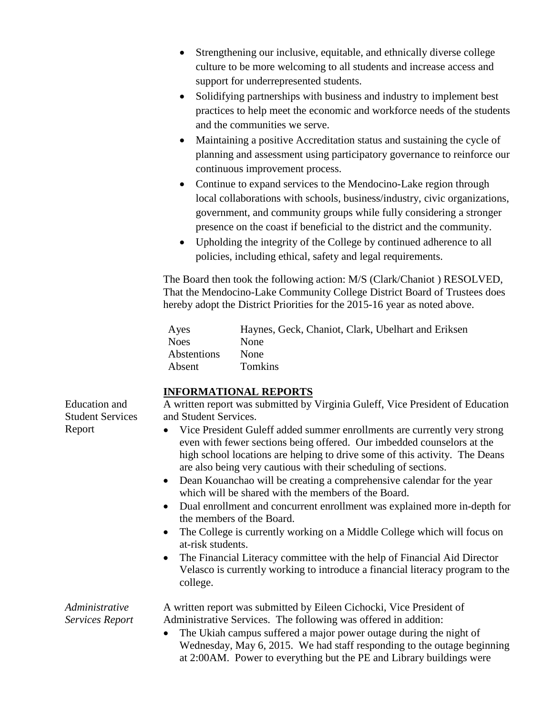- Strengthening our inclusive, equitable, and ethnically diverse college culture to be more welcoming to all students and increase access and support for underrepresented students.
- Solidifying partnerships with business and industry to implement best practices to help meet the economic and workforce needs of the students and the communities we serve.
- Maintaining a positive Accreditation status and sustaining the cycle of planning and assessment using participatory governance to reinforce our continuous improvement process.
- Continue to expand services to the Mendocino-Lake region through local collaborations with schools, business/industry, civic organizations, government, and community groups while fully considering a stronger presence on the coast if beneficial to the district and the community.
- Upholding the integrity of the College by continued adherence to all policies, including ethical, safety and legal requirements.

The Board then took the following action: M/S (Clark/Chaniot ) RESOLVED, That the Mendocino-Lake Community College District Board of Trustees does hereby adopt the District Priorities for the 2015-16 year as noted above.

| Ayes        | Haynes, Geck, Chaniot, Clark, Ubelhart and Eriksen |
|-------------|----------------------------------------------------|
| <b>Noes</b> | <b>None</b>                                        |
| Abstentions | <b>None</b>                                        |
| Absent      | Tomkins                                            |

## **INFORMATIONAL REPORTS**

A written report was submitted by Virginia Guleff, Vice President of Education and Student Services.

- Vice President Guleff added summer enrollments are currently very strong even with fewer sections being offered. Our imbedded counselors at the high school locations are helping to drive some of this activity. The Deans are also being very cautious with their scheduling of sections.
- Dean Kouanchao will be creating a comprehensive calendar for the year which will be shared with the members of the Board.
- Dual enrollment and concurrent enrollment was explained more in-depth for the members of the Board.
- The College is currently working on a Middle College which will focus on at-risk students.
- The Financial Literacy committee with the help of Financial Aid Director Velasco is currently working to introduce a financial literacy program to the college.

A written report was submitted by Eileen Cichocki, Vice President of Administrative Services. The following was offered in addition:

• The Ukiah campus suffered a major power outage during the night of Wednesday, May 6, 2015. We had staff responding to the outage beginning at 2:00AM. Power to everything but the PE and Library buildings were

Education and Student Services Report

*Administrative Services Report*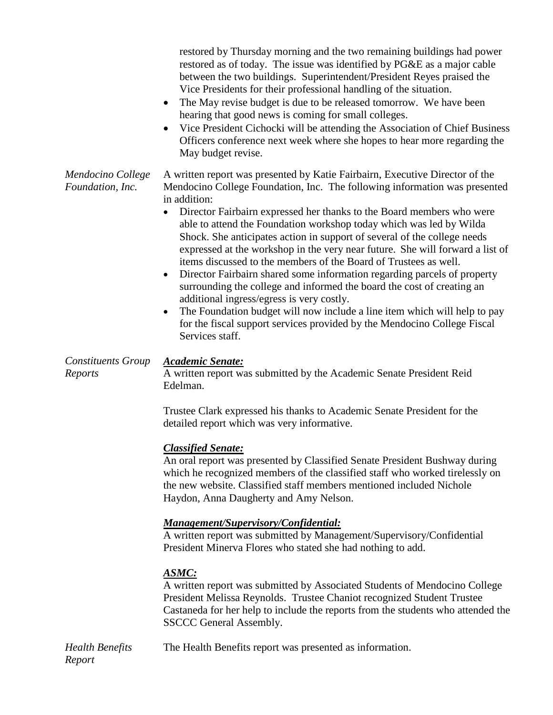|                                       | restored by Thursday morning and the two remaining buildings had power<br>restored as of today. The issue was identified by PG&E as a major cable<br>between the two buildings. Superintendent/President Reyes praised the<br>Vice Presidents for their professional handling of the situation.<br>The May revise budget is due to be released tomorrow. We have been<br>hearing that good news is coming for small colleges.<br>Vice President Cichocki will be attending the Association of Chief Business<br>Officers conference next week where she hopes to hear more regarding the<br>May budget revise.                                                                                                                                                                                                                                                                                                                                                       |
|---------------------------------------|----------------------------------------------------------------------------------------------------------------------------------------------------------------------------------------------------------------------------------------------------------------------------------------------------------------------------------------------------------------------------------------------------------------------------------------------------------------------------------------------------------------------------------------------------------------------------------------------------------------------------------------------------------------------------------------------------------------------------------------------------------------------------------------------------------------------------------------------------------------------------------------------------------------------------------------------------------------------|
| Mendocino College<br>Foundation, Inc. | A written report was presented by Katie Fairbairn, Executive Director of the<br>Mendocino College Foundation, Inc. The following information was presented<br>in addition:<br>Director Fairbairn expressed her thanks to the Board members who were<br>able to attend the Foundation workshop today which was led by Wilda<br>Shock. She anticipates action in support of several of the college needs<br>expressed at the workshop in the very near future. She will forward a list of<br>items discussed to the members of the Board of Trustees as well.<br>Director Fairbairn shared some information regarding parcels of property<br>$\bullet$<br>surrounding the college and informed the board the cost of creating an<br>additional ingress/egress is very costly.<br>The Foundation budget will now include a line item which will help to pay<br>$\bullet$<br>for the fiscal support services provided by the Mendocino College Fiscal<br>Services staff. |
| <b>Constituents Group</b><br>Reports  | Academic Senate:<br>A written report was submitted by the Academic Senate President Reid<br>Edelman.                                                                                                                                                                                                                                                                                                                                                                                                                                                                                                                                                                                                                                                                                                                                                                                                                                                                 |
|                                       | Trustee Clark expressed his thanks to Academic Senate President for the<br>detailed report which was very informative.                                                                                                                                                                                                                                                                                                                                                                                                                                                                                                                                                                                                                                                                                                                                                                                                                                               |
|                                       | <b>Classified Senate:</b><br>An oral report was presented by Classified Senate President Bushway during<br>which he recognized members of the classified staff who worked tirelessly on<br>the new website. Classified staff members mentioned included Nichole<br>Haydon, Anna Daugherty and Amy Nelson.                                                                                                                                                                                                                                                                                                                                                                                                                                                                                                                                                                                                                                                            |
|                                       | <b>Management/Supervisory/Confidential:</b><br>A written report was submitted by Management/Supervisory/Confidential<br>President Minerva Flores who stated she had nothing to add.                                                                                                                                                                                                                                                                                                                                                                                                                                                                                                                                                                                                                                                                                                                                                                                  |
|                                       | <u>ASMC:</u><br>A written report was submitted by Associated Students of Mendocino College<br>President Melissa Reynolds. Trustee Chaniot recognized Student Trustee<br>Castaneda for her help to include the reports from the students who attended the<br>SSCCC General Assembly.                                                                                                                                                                                                                                                                                                                                                                                                                                                                                                                                                                                                                                                                                  |
| <b>Health Benefits</b><br>Report      | The Health Benefits report was presented as information.                                                                                                                                                                                                                                                                                                                                                                                                                                                                                                                                                                                                                                                                                                                                                                                                                                                                                                             |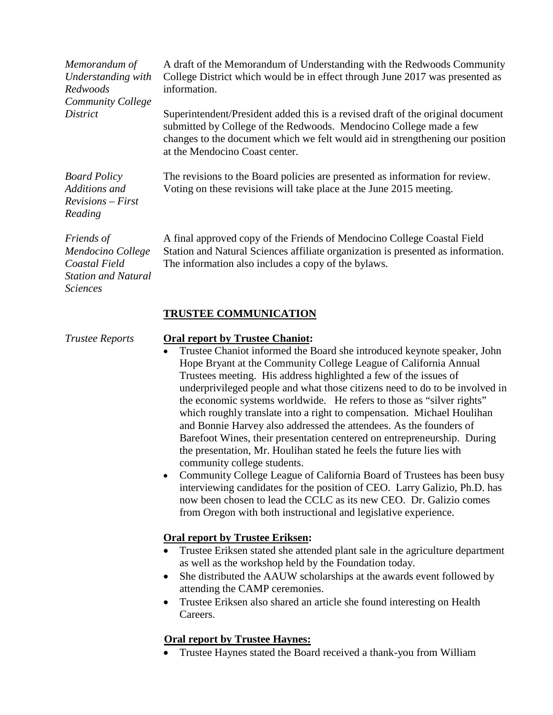| Memorandum of<br>Understanding with<br>Redwoods<br>Community College                | A draft of the Memorandum of Understanding with the Redwoods Community<br>College District which would be in effect through June 2017 was presented as<br>information.                                                                                                   |
|-------------------------------------------------------------------------------------|--------------------------------------------------------------------------------------------------------------------------------------------------------------------------------------------------------------------------------------------------------------------------|
| District                                                                            | Superintendent/President added this is a revised draft of the original document<br>submitted by College of the Redwoods. Mendocino College made a few<br>changes to the document which we felt would aid in strengthening our position<br>at the Mendocino Coast center. |
| <b>Board Policy</b><br>Additions and<br>Revisions – First<br>Reading                | The revisions to the Board policies are presented as information for review.<br>Voting on these revisions will take place at the June 2015 meeting.                                                                                                                      |
| Friends of<br>Mendocino College<br>Coastal Field<br>Station and Natural<br>Sciences | A final approved copy of the Friends of Mendocino College Coastal Field<br>Station and Natural Sciences affiliate organization is presented as information.<br>The information also includes a copy of the bylaws.                                                       |

### **TRUSTEE COMMUNICATION**

#### *Trustee Reports* **Oral report by Trustee Chaniot:**

- Trustee Chaniot informed the Board she introduced keynote speaker, John Hope Bryant at the Community College League of California Annual Trustees meeting. His address highlighted a few of the issues of underprivileged people and what those citizens need to do to be involved in the economic systems worldwide. He refers to those as "silver rights" which roughly translate into a right to compensation. Michael Houlihan and Bonnie Harvey also addressed the attendees. As the founders of Barefoot Wines, their presentation centered on entrepreneurship. During the presentation, Mr. Houlihan stated he feels the future lies with community college students.
- Community College League of California Board of Trustees has been busy interviewing candidates for the position of CEO. Larry Galizio, Ph.D. has now been chosen to lead the CCLC as its new CEO. Dr. Galizio comes from Oregon with both instructional and legislative experience.

### **Oral report by Trustee Eriksen:**

- Trustee Eriksen stated she attended plant sale in the agriculture department as well as the workshop held by the Foundation today.
- She distributed the AAUW scholarships at the awards event followed by attending the CAMP ceremonies.
- Trustee Eriksen also shared an article she found interesting on Health Careers.

### **Oral report by Trustee Haynes:**

• Trustee Haynes stated the Board received a thank-you from William